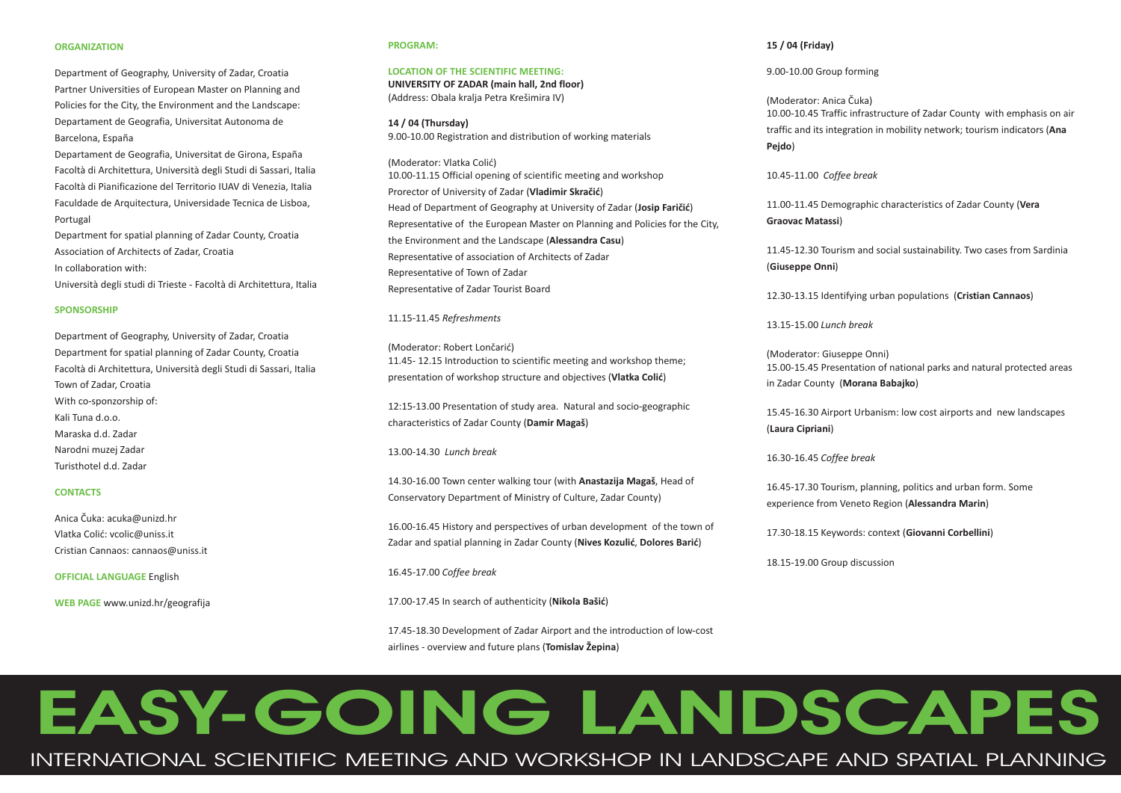#### **ORGANIZATION**

Department of Geography, University of Zadar, Croatia Partner Universities of European Master on Planning and Policies for the City, the Environment and the Landscape: Departament de Geografia, Universitat Autonoma de Barcelona, España

Departament de Geografia, Universitat de Girona, España Facoltà di Architettura, Università degli Studi di Sassari, Italia Facoltà di Pianificazione del Territorio IUAV di Venezia, Italia Faculdade de Arquitectura, Universidade Tecnica de Lisboa, Portugal

Department for spatial planning of Zadar County, Croatia Association of Architects of Zadar, Croatia In collaboration with:

Università degli studi di Trieste - Facoltà di Architettura, Italia

#### **SPONSORSHIP**

Department of Geography, University of Zadar, Croatia Department for spatial planning of Zadar County, Croatia Facoltà di Architettura, Università degli Studi di Sassari, Italia Town of Zadar, Croatia With co-sponzorship of: Kali Tuna d.o.o. Maraska d.d. ZadarNarodni muzej Zadar Turisthotel d.d. Zadar

# **CONTACTS**

Anica Èuka: acuka@unizd.hr Vlatka Colić: vcolic@uniss.it Cristian Cannaos: cannaos@uniss.it

**OFFICIAL LANGUAGE** English

**WEB PAGE** www.unizd.hr/geografija

#### **PROGRAM:**

# **LOCATION OF THE SCIENTIFIC MEETING:**

(Address: Obala kralja Petra Krešimira IV) **UNIVERSITY OF ZADAR (main hall, 2nd floor)**

**14 / 04 (Thursday)** 9.00-10.00 Registration and distribution of working materials

(Moderator: Vlatka Colić) Prorector of University of Zadar (**Vladimir Skračić**) Head of Department of Geography at University of Zadar (Josip Faričić) Representative of Zadar Tourist Board **the Environment and the Landscape (Alessandra Casu)** 10.00-11.15 Official opening of scientific meeting and workshop Representative of the European Master on Planning and Policies for the City, Representative of association of Architects of Zadar Representative of Town of Zadar

#### 11.15-11.45 *Refreshments*

(Moderator: Robert Lončarić) presentation of workshop structure and objectives (**Vlatka Colić**) 11.45- 12.15 Introduction to scientific meeting and workshop theme;

characteristics of Zadar County (Damir Magaš) 12:15-13.00 Presentation of study area. Natural and socio-geographic

13.00-14.30*Lunch break*

14.30-16.00 Town center walking tour (with **Anastazija Magaš**, Head of Conservatory Department of Ministry of Culture, Zadar County)

Zadar and spatial planning in Zadar County (Nives Kozulić, Dolores Barić) 16.00-16.45 History and perspectives of urban development of the town of

#### 16.45-17.00 *Coffee break*

17.00-17.45 In search of authenticity (Nikola Bašić)

airlines - overview and future plans (**Tomislav Žepina**) 17.45-18.30 Development of Zadar Airport and the introduction of low-cost

### **15 / 04 (Friday)**

9.00-10.00 Group forming

**Ana** traffic and its integration in mobility network; tourism indicators ( **Pejdo** ) 10.00-10.45 Traffic infrastructure of Zadar County with emphasis on air (Moderator: Anica Èuka)

10.45-11.00*Coffee break*

**Vera** 11.00-11.45 Demographic characteristics of Zadar County ( **Graovac Matassi** )

**Giuseppe Onni** ( ) 11.45-12.30 Tourism and social sustainability. Two cases from Sardinia

12.30-13.15 Identifying urban populations (Cristian Cannaos)

13.15-15.00*Lunch break*

**in Zadar County (Morana Babajko)** 15.00-15.45 Presentation of national parks and natural protected areas (Moderator: Giuseppe Onni)

**Laura Cipriani** ( ) 15.45-16.30 Airport Urbanism: low cost airports and new landscapes

16.30-16.45 *Coffee break*

experience from Veneto Region (**Alessandra Marin**) 16.45-17.30 Tourism, planning, politics and urban form. Some

17.30-18.15 Keywords: context (Giovanni Corbellini)

18.15-19.00 Group discussion

# **EASY-GOING LANDSCAPES**

INTERNATIONAL SCIENTIFIC MEETING AND WORKSHOP IN LANDSCAPE AND SPATIAL PLANNING